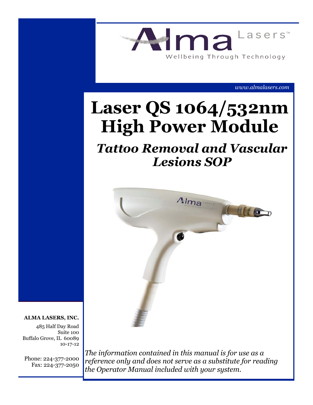

*www.almalasers.com*

# **Laser QS 1064/532nm High Power Module**

# *Tattoo Removal and Vascular Lesions SOP*



#### **ALMA LASERS, INC.**

485 Half Day Road Suite 100 Buffalo Grove, IL 60089 10-17-12

Phone: 224-377-2000 Fax: 224-377-2050

*The information contained in this manual is for use as a reference only and does not serve as a substitute for reading the Operator Manual included with your system.*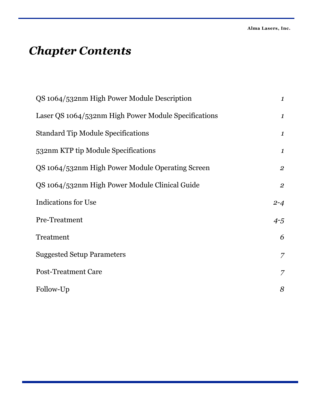# *Chapter Contents*

| QS 1064/532nm High Power Module Description          | $\boldsymbol{1}$ |
|------------------------------------------------------|------------------|
| Laser QS 1064/532nm High Power Module Specifications | $\boldsymbol{1}$ |
| <b>Standard Tip Module Specifications</b>            | $\boldsymbol{1}$ |
| 532nm KTP tip Module Specifications                  | $\boldsymbol{1}$ |
| QS 1064/532nm High Power Module Operating Screen     | $\overline{2}$   |
| QS 1064/532nm High Power Module Clinical Guide       | $\overline{2}$   |
| <b>Indications for Use</b>                           | $2 - 4$          |
| Pre-Treatment                                        | $4 - 5$          |
| Treatment                                            | 6                |
| <b>Suggested Setup Parameters</b>                    | 7                |
| <b>Post-Treatment Care</b>                           | 7                |
| Follow-Up                                            | 8                |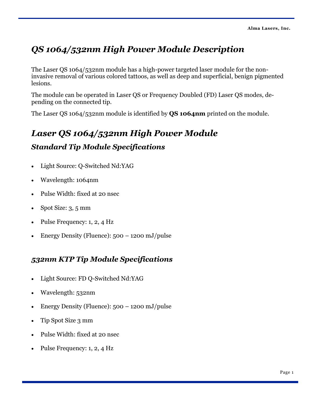# *QS 1064/532nm High Power Module Description*

The Laser QS 1064/532nm module has a high-power targeted laser module for the noninvasive removal of various colored tattoos, as well as deep and superficial, benign pigmented lesions.

The module can be operated in Laser QS or Frequency Doubled (FD) Laser QS modes, depending on the connected tip.

The Laser QS 1064/532nm module is identified by **QS 1064nm** printed on the module.

# *Laser QS 1064/532nm High Power Module*

## *Standard Tip Module Specifications*

- Light Source: Q-Switched Nd:YAG
- Wavelength: 1064nm
- Pulse Width: fixed at 20 nsec
- Spot Size:  $3, 5$  mm
- $\bullet$  Pulse Frequency: 1, 2, 4 Hz
- Energy Density (Fluence): 500 1200 mJ/pulse

# *532nm KTP Tip Module Specifications*

- Light Source: FD Q-Switched Nd:YAG
- Wavelength: 532nm
- Energy Density (Fluence):  $500 1200$  mJ/pulse
- Tip Spot Size 3 mm
- Pulse Width: fixed at 20 nsec
- Pulse Frequency: 1, 2, 4 Hz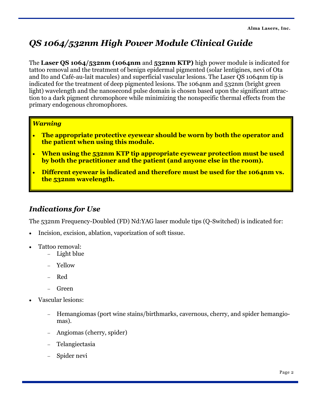# *QS 1064/532nm High Power Module Clinical Guide*

The **Laser QS 1064/532nm (1064nm** and **532nm KTP)** high power module is indicated for tattoo removal and the treatment of benign epidermal pigmented (solar lentigines, nevi of Ota and Ito and Café-au-lait macules) and superficial vascular lesions. The Laser QS 1064nm tip is indicated for the treatment of deep pigmented lesions. The 1064nm and 532nm (bright green light) wavelength and the nanosecond pulse domain is chosen based upon the significant attraction to a dark pigment chromophore while minimizing the nonspecific thermal effects from the primary endogenous chromophores.

#### *Warning*

- **The appropriate protective eyewear should be worn by both the operator and the patient when using this module.**
- **When using the 532nm KTP tip appropriate eyewear protection must be used by both the practitioner and the patient (and anyone else in the room).**
- **Different eyewear is indicated and therefore must be used for the 1064nm vs. the 532nm wavelength.**

### *Indications for Use*

The 532nm Frequency-Doubled (FD) Nd:YAG laser module tips (Q-Switched) is indicated for:

- Incision, excision, ablation, vaporization of soft tissue.
- Tattoo removal:
	- Light blue
	- Yellow
	- Red
	- Green
- Vascular lesions:
	- Hemangiomas (port wine stains/birthmarks, cavernous, cherry, and spider hemangiomas).
	- Angiomas (cherry, spider)
	- Telangiectasia
	- Spider nevi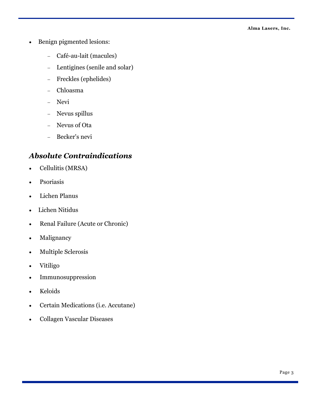- Benign pigmented lesions:
	- Café-au-lait (macules)
	- Lentigines (senile and solar)
	- Freckles (ephelides)
	- Chloasma
	- Nevi
	- Nevus spillus
	- Nevus of Ota
	- Becker's nevi

### *Absolute Contraindications*

- Cellulitis (MRSA)
- Psoriasis
- Lichen Planus
- Lichen Nitidus
- Renal Failure (Acute or Chronic)
- Malignancy
- Multiple Sclerosis
- Vitiligo
- Immunosuppression
- Keloids
- Certain Medications (i.e. Accutane)
- Collagen Vascular Diseases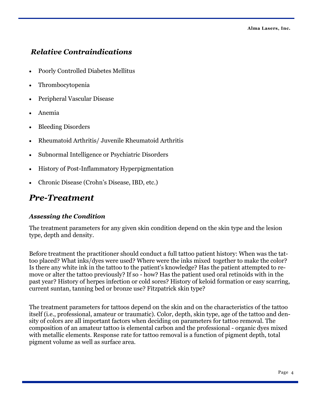### *Relative Contraindications*

- Poorly Controlled Diabetes Mellitus
- Thrombocytopenia
- Peripheral Vascular Disease
- Anemia
- Bleeding Disorders
- Rheumatoid Arthritis/ Juvenile Rheumatoid Arthritis
- Subnormal Intelligence or Psychiatric Disorders
- History of Post-Inflammatory Hyperpigmentation
- Chronic Disease (Crohn's Disease, IBD, etc.)

# *Pre-Treatment*

#### *Assessing the Condition*

The treatment parameters for any given skin condition depend on the skin type and the lesion type, depth and density.

Before treatment the practitioner should conduct a full tattoo patient history: When was the tattoo placed? What inks/dyes were used? Where were the inks mixed together to make the color? Is there any white ink in the tattoo to the patient's knowledge? Has the patient attempted to remove or alter the tattoo previously? If so - how? Has the patient used oral retinoids with in the past year? History of herpes infection or cold sores? History of keloid formation or easy scarring, current suntan, tanning bed or bronze use? Fitzpatrick skin type?

The treatment parameters for tattoos depend on the skin and on the characteristics of the tattoo itself (i.e., professional, amateur or traumatic). Color, depth, skin type, age of the tattoo and density of colors are all important factors when deciding on parameters for tattoo removal. The composition of an amateur tattoo is elemental carbon and the professional - organic dyes mixed with metallic elements. Response rate for tattoo removal is a function of pigment depth, total pigment volume as well as surface area.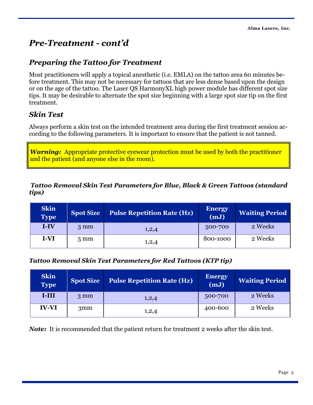# *Pre-Treatment - cont'd*

### *Preparing the Tattoo for Treatment*

Most practitioners will apply a topical anesthetic (i.e. EMLA) on the tattoo area 60 minutes before treatment. This may not be necessary for tattoos that are less dense based upon the design or on the age of the tattoo. The Laser QS HarmonyXL high power module has different spot size tips. It may be desirable to alternate the spot size beginning with a large spot size tip on the first treatment.

### *Skin Test*

Always perform a skin test on the intended treatment area during the first treatment session according to the following parameters. It is important to ensure that the patient is not tanned.

*Warning:* Appropriate protective eyewear protection must be used by both the practitioner and the patient (and anyone else in the room).

#### *Tattoo Removal Skin Test Parameters for Blue, Black & Green Tattoos (standard tips)*

| <b>Skin</b><br><b>Type</b> | <b>Spot Size</b> | <b>Pulse Repetition Rate (Hz)</b> | <b>Energy</b><br>(mJ) | <b>Waiting Period</b> |
|----------------------------|------------------|-----------------------------------|-----------------------|-----------------------|
| $I-IV$                     | $3 \text{ mm}$   | 1,2,4                             | 500-700               | 2 Weeks               |
| I-VI                       | $5 \text{ mm}$   | 1,2,4                             | 800-1000              | 2 Weeks               |

#### *Tattoo Removal Skin Test Parameters for Red Tattoos (KTP tip)*

| <b>Skin</b><br><b>Type</b> | <b>Spot Size</b> | <b>Pulse Repetition Rate (Hz)</b> | <b>Energy</b><br>(mJ) | <b>Waiting Period</b> |
|----------------------------|------------------|-----------------------------------|-----------------------|-----------------------|
| 18111                      | $3 \text{ mm}$   | 1,2,4                             | 500-700               | 2 Weeks               |
| <b>IV-VI</b>               | 3mm              | 1,2,4                             | 400-600               | 2 Weeks               |

*Note:* It is recommended that the patient return for treatment 2 weeks after the skin test.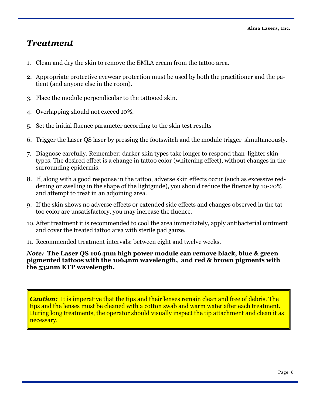# *Treatment*

- 1. Clean and dry the skin to remove the EMLA cream from the tattoo area.
- 2. Appropriate protective eyewear protection must be used by both the practitioner and the patient (and anyone else in the room).
- 3. Place the module perpendicular to the tattooed skin.
- 4. Overlapping should not exceed 10%.
- 5. Set the initial fluence parameter according to the skin test results
- 6. Trigger the Laser QS laser by pressing the footswitch and the module trigger simultaneously.
- 7. Diagnose carefully. Remember: darker skin types take longer to respond than lighter skin types. The desired effect is a change in tattoo color (whitening effect), without changes in the surrounding epidermis.
- 8. If, along with a good response in the tattoo, adverse skin effects occur (such as excessive reddening or swelling in the shape of the lightguide), you should reduce the fluence by 10-20% and attempt to treat in an adjoining area.
- 9. If the skin shows no adverse effects or extended side effects and changes observed in the tattoo color are unsatisfactory, you may increase the fluence.
- 10. After treatment it is recommended to cool the area immediately, apply antibacterial ointment and cover the treated tattoo area with sterile pad gauze.
- 11. Recommended treatment intervals: between eight and twelve weeks.

*Note:* **The Laser QS 1064nm high power module can remove black, blue & green pigmented tattoos with the 1064nm wavelength, and red & brown pigments with the 532nm KTP wavelength.**

*Caution:* It is imperative that the tips and their lenses remain clean and free of debris. The tips and the lenses must be cleaned with a cotton swab and warm water after each treatment. During long treatments, the operator should visually inspect the tip attachment and clean it as necessary.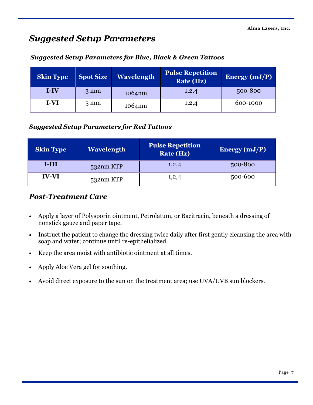# *Suggested Setup Parameters*

| <b>Skin Type</b> | <b>Spot Size</b> | <b>Wavelength</b> | <b>Pulse Repetition</b><br><b>Rate (Hz)</b> | Energy $(mJ/P)$ |
|------------------|------------------|-------------------|---------------------------------------------|-----------------|
| <b>I-IV</b>      | $3 \text{ mm}$   | 1064nm            | 1,2,4                                       | 500-800         |
| I-VI             | $5 \text{ mm}$   | 1064nm            | 1,2,4                                       | 600-1000        |

#### *Suggested Setup Parameters for Blue, Black & Green Tattoos*

#### *Suggested Setup Parameters for Red Tattoos*

| <b>Skin Type</b> | <b>Wavelength</b> | <b>Pulse Repetition</b><br>Rate (Hz) | Energy $(mJ/P)$ |
|------------------|-------------------|--------------------------------------|-----------------|
| 18111            | $532$ nm KTP      | 1,2,4                                | 500-800         |
| <b>IV-VI</b>     | 532nm KTP         | 1,2,4                                | 500-600         |

#### *Post-Treatment Care*

- Apply a layer of Polysporin ointment, Petrolatum, or Bacitracin, beneath a dressing of nonstick gauze and paper tape.
- Instruct the patient to change the dressing twice daily after first gently cleansing the area with soap and water; continue until re-epithelialized.
- Keep the area moist with antibiotic ointment at all times.
- Apply Aloe Vera gel for soothing.
- Avoid direct exposure to the sun on the treatment area; use UVA/UVB sun blockers.